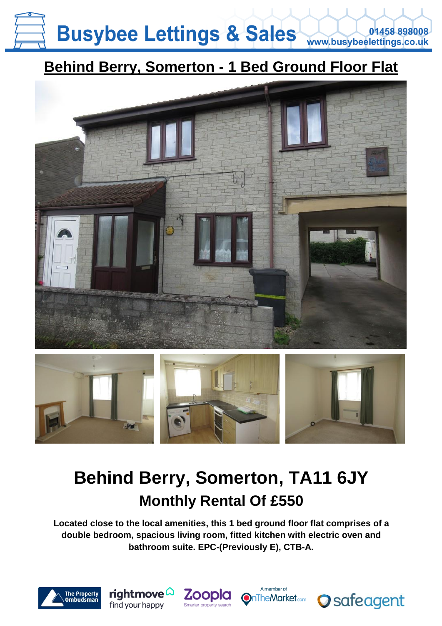### **Busybee Lettings & Sales** 01458 898008 www.busybeelettings.co.uk

### **Behind Berry, Somerton - 1 Bed Ground Floor Flat**





## **Behind Berry, Somerton, TA11 6JY Monthly Rental Of £550**

**Located close to the local amenities, this 1 bed ground floor flat comprises of a double bedroom, spacious living room, fitted kitchen with electric oven and bathroom suite. EPC-(Previously E), CTB-A.**







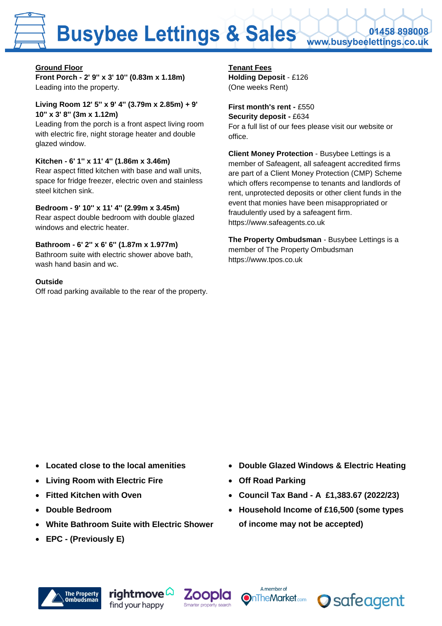# **Busybee Lettings & Sales**

0145889800 www.busybeelettings.co.uk

#### **Ground Floor**

**Front Porch - 2' 9'' x 3' 10'' (0.83m x 1.18m)** Leading into the property.

#### **Living Room 12' 5'' x 9' 4'' (3.79m x 2.85m) + 9' 10'' x 3' 8'' (3m x 1.12m)**

Leading from the porch is a front aspect living room with electric fire, night storage heater and double glazed window.

#### **Kitchen - 6' 1'' x 11' 4'' (1.86m x 3.46m)**

Rear aspect fitted kitchen with base and wall units, space for fridge freezer, electric oven and stainless steel kitchen sink.

#### **Bedroom - 9' 10'' x 11' 4'' (2.99m x 3.45m)**

Rear aspect double bedroom with double glazed windows and electric heater.

#### **Bathroom - 6' 2'' x 6' 6'' (1.87m x 1.977m)**

Bathroom suite with electric shower above bath, wash hand basin and wc.

#### **Outside**

Off road parking available to the rear of the property.

**Tenant Fees Holding Deposit** - £126 (One weeks Rent)

#### **First month's rent -** £550 **Security deposit -** £634 For a full list of our fees please visit our website or office.

**Client Money Protection** - Busybee Lettings is a member of Safeagent, all safeagent accredited firms are part of a Client Money Protection (CMP) Scheme which offers recompense to tenants and landlords of rent, unprotected deposits or other client funds in the event that monies have been misappropriated or fraudulently used by a safeagent firm. https://www.safeagents.co.uk

**The Property Ombudsman** - Busybee Lettings is a member of The Property Ombudsman https://www.tpos.co.uk

- **Located close to the local amenities**
- **Living Room with Electric Fire**
- **Fitted Kitchen with Oven**
- **Double Bedroom**
- **White Bathroom Suite with Electric Shower**
- **EPC - (Previously E)**
- **Double Glazed Windows & Electric Heating**
- **Off Road Parking**
- **Council Tax Band - A £1,383.67 (2022/23)**
- **Household Income of £16,500 (some types of income may not be accepted)**